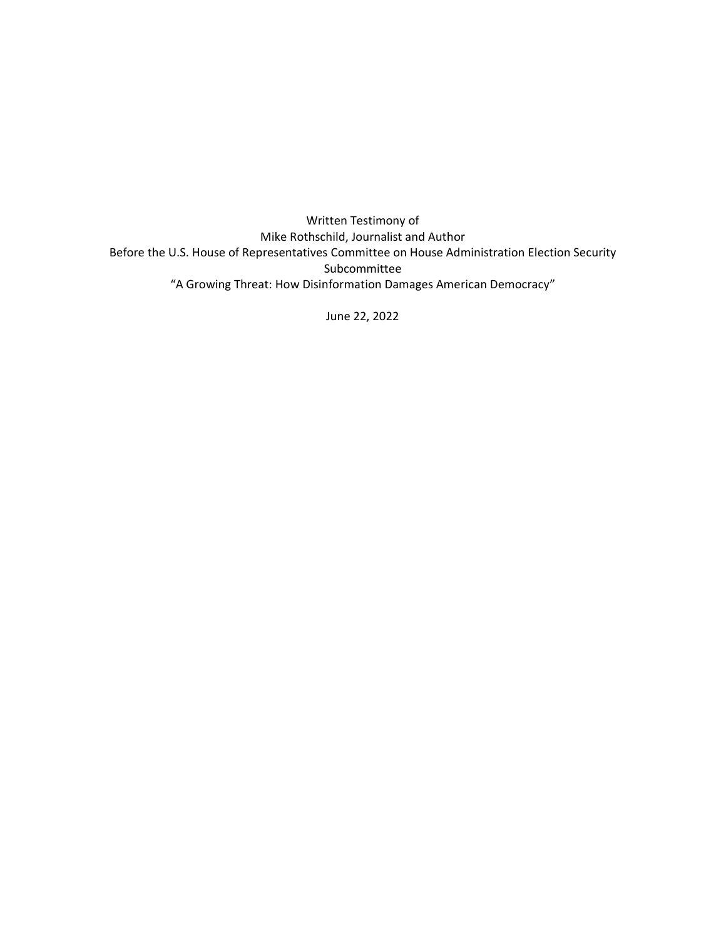Written Testimony of Mike Rothschild, Journalist and Author Before the U.S. House of Representatives Committee on House Administration Election Security Subcommittee "A Growing Threat: How Disinformation Damages American Democracy"

June 22, 2022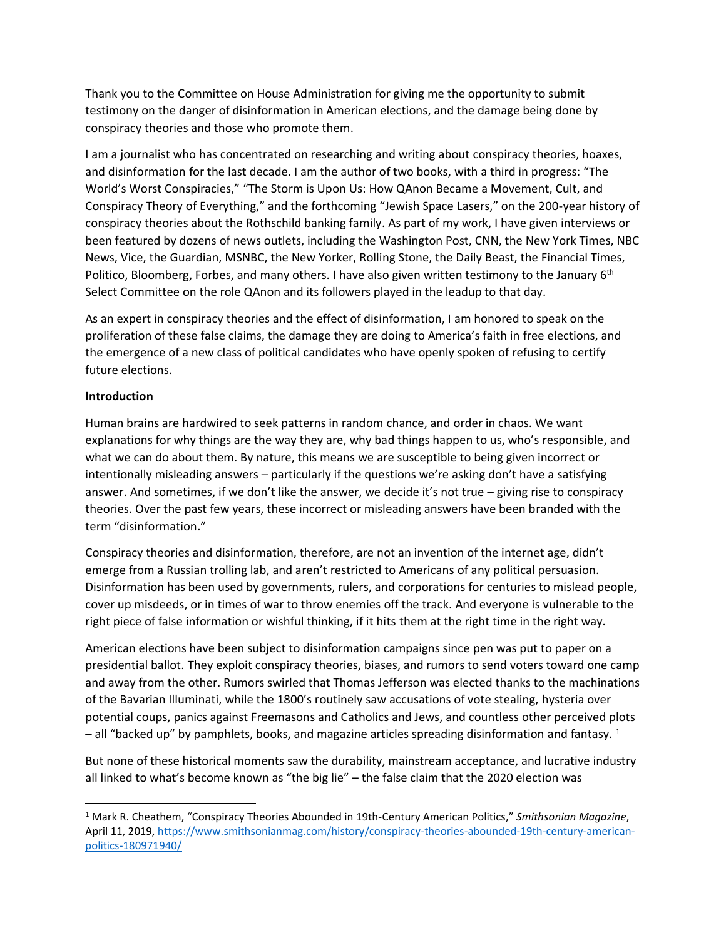Thank you to the Committee on House Administration for giving me the opportunity to submit testimony on the danger of disinformation in American elections, and the damage being done by conspiracy theories and those who promote them.

I am a journalist who has concentrated on researching and writing about conspiracy theories, hoaxes, and disinformation for the last decade. I am the author of two books, with a third in progress: "The World's Worst Conspiracies," "The Storm is Upon Us: How QAnon Became a Movement, Cult, and Conspiracy Theory of Everything," and the forthcoming "Jewish Space Lasers," on the 200-year history of conspiracy theories about the Rothschild banking family. As part of my work, I have given interviews or been featured by dozens of news outlets, including the Washington Post, CNN, the New York Times, NBC News, Vice, the Guardian, MSNBC, the New Yorker, Rolling Stone, the Daily Beast, the Financial Times, Politico, Bloomberg, Forbes, and many others. I have also given written testimony to the January 6<sup>th</sup> Select Committee on the role QAnon and its followers played in the leadup to that day.

As an expert in conspiracy theories and the effect of disinformation, I am honored to speak on the proliferation of these false claims, the damage they are doing to America's faith in free elections, and the emergence of a new class of political candidates who have openly spoken of refusing to certify future elections.

## **Introduction**

Human brains are hardwired to seek patterns in random chance, and order in chaos. We want explanations for why things are the way they are, why bad things happen to us, who's responsible, and what we can do about them. By nature, this means we are susceptible to being given incorrect or intentionally misleading answers – particularly if the questions we're asking don't have a satisfying answer. And sometimes, if we don't like the answer, we decide it's not true – giving rise to conspiracy theories. Over the past few years, these incorrect or misleading answers have been branded with the term "disinformation."

Conspiracy theories and disinformation, therefore, are not an invention of the internet age, didn't emerge from a Russian trolling lab, and aren't restricted to Americans of any political persuasion. Disinformation has been used by governments, rulers, and corporations for centuries to mislead people, cover up misdeeds, or in times of war to throw enemies off the track. And everyone is vulnerable to the right piece of false information or wishful thinking, if it hits them at the right time in the right way.

American elections have been subject to disinformation campaigns since pen was put to paper on a presidential ballot. They exploit conspiracy theories, biases, and rumors to send voters toward one camp and away from the other. Rumors swirled that Thomas Jefferson was elected thanks to the machinations of the Bavarian Illuminati, while the 1800's routinely saw accusations of vote stealing, hysteria over potential coups, panics against Freemasons and Catholics and Jews, and countless other perceived plots  $-$  all "backed up" by pamphlets, books, and magazine articles spreading disinformation and fantasy. <sup>1</sup>

But none of these historical moments saw the durability, mainstream acceptance, and lucrative industry all linked to what's become known as "the big lie" – the false claim that the 2020 election was

<sup>1</sup> Mark R. Cheathem, "Conspiracy Theories Abounded in 19th-Century American Politics," *Smithsonian Magazine*, April 11, 2019, [https://www.smithsonianmag.com/history/conspiracy-theories-abounded-19th-century-american](https://www.smithsonianmag.com/history/conspiracy-theories-abounded-19th-century-american-politics-180971940/)[politics-180971940/](https://www.smithsonianmag.com/history/conspiracy-theories-abounded-19th-century-american-politics-180971940/)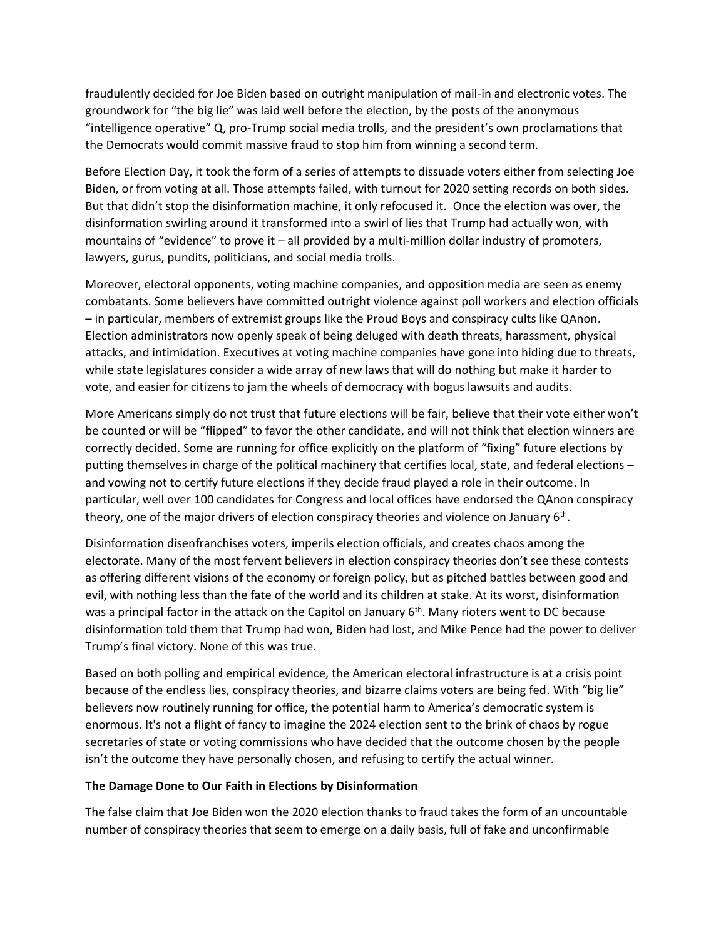fraudulently decided for Joe Biden based on outright manipulation of mail-in and electronic votes. The groundwork for "the big lie" was laid well before the election, by the posts of the anonymous "intelligence operative" Q, pro-Trump social media trolls, and the president's own proclamations that the Democrats would commit massive fraud to stop him from winning a second term.

Before Election Day, it took the form of a series of attempts to dissuade voters either from selecting Joe Biden, or from voting at all. Those attempts failed, with turnout for 2020 setting records on both sides. But that didn't stop the disinformation machine, it only refocused it. Once the election was over, the disinformation swirling around it transformed into a swirl of lies that Trump had actually won, with mountains of "evidence" to prove it – all provided by a multi-million dollar industry of promoters, lawyers, gurus, pundits, politicians, and social media trolls.

Moreover, electoral opponents, voting machine companies, and opposition media are seen as enemy combatants. Some believers have committed outright violence against poll workers and election officials – in particular, members of extremist groups like the Proud Boys and conspiracy cults like QAnon. Election administrators now openly speak of being deluged with death threats, harassment, physical attacks, and intimidation. Executives at voting machine companies have gone into hiding due to threats, while state legislatures consider a wide array of new laws that will do nothing but make it harder to vote, and easier for citizens to jam the wheels of democracy with bogus lawsuits and audits.

More Americans simply do not trust that future elections will be fair, believe that their vote either won't be counted or will be "flipped" to favor the other candidate, and will not think that election winners are correctly decided. Some are running for office explicitly on the platform of "fixing" future elections by putting themselves in charge of the political machinery that certifies local, state, and federal elections – and vowing not to certify future elections if they decide fraud played a role in their outcome. In particular, well over 100 candidates for Congress and local offices have endorsed the QAnon conspiracy theory, one of the major drivers of election conspiracy theories and violence on January 6<sup>th</sup>.

Disinformation disenfranchises voters, imperils election officials, and creates chaos among the electorate. Many of the most fervent believers in election conspiracy theories don't see these contests as offering different visions of the economy or foreign policy, but as pitched battles between good and evil, with nothing less than the fate of the world and its children at stake. At its worst, disinformation was a principal factor in the attack on the Capitol on January 6<sup>th</sup>. Many rioters went to DC because disinformation told them that Trump had won, Biden had lost, and Mike Pence had the power to deliver Trump's final victory. None of this was true.

Based on both polling and empirical evidence, the American electoral infrastructure is at a crisis point because of the endless lies, conspiracy theories, and bizarre claims voters are being fed. With "big lie" believers now routinely running for office, the potential harm to America's democratic system is enormous. It's not a flight of fancy to imagine the 2024 election sent to the brink of chaos by rogue secretaries of state or voting commissions who have decided that the outcome chosen by the people isn't the outcome they have personally chosen, and refusing to certify the actual winner.

## **The Damage Done to Our Faith in Elections by Disinformation**

The false claim that Joe Biden won the 2020 election thanks to fraud takes the form of an uncountable number of conspiracy theories that seem to emerge on a daily basis, full of fake and unconfirmable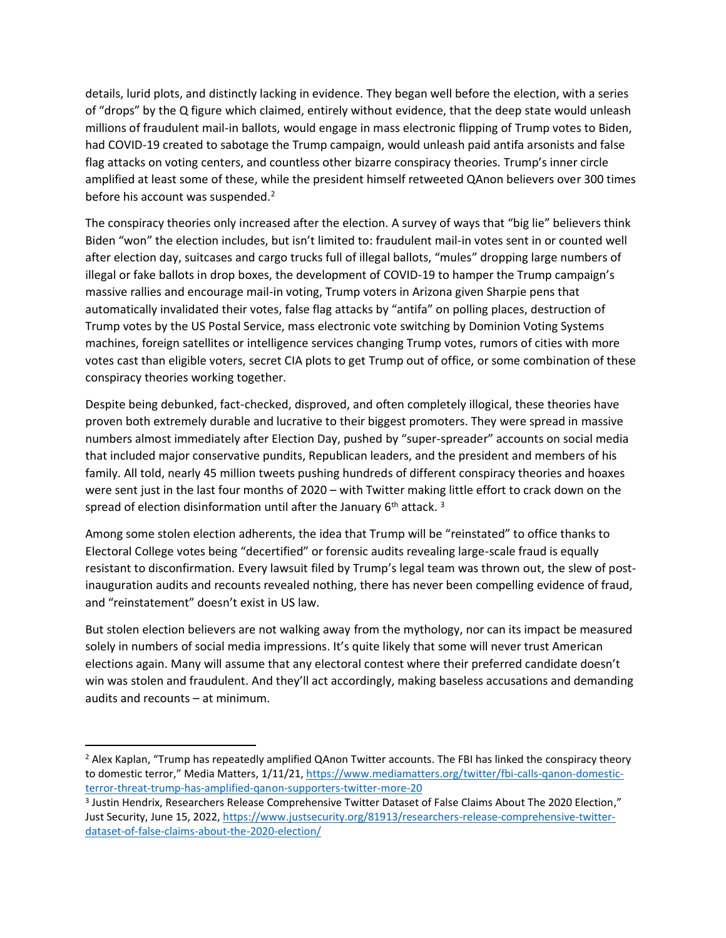details, lurid plots, and distinctly lacking in evidence. They began well before the election, with a series of "drops" by the Q figure which claimed, entirely without evidence, that the deep state would unleash millions of fraudulent mail-in ballots, would engage in mass electronic flipping of Trump votes to Biden, had COVID-19 created to sabotage the Trump campaign, would unleash paid antifa arsonists and false flag attacks on voting centers, and countless other bizarre conspiracy theories. Trump's inner circle amplified at least some of these, while the president himself retweeted QAnon believers over 300 times before his account was suspended.<sup>2</sup>

The conspiracy theories only increased after the election. A survey of ways that "big lie" believers think Biden "won" the election includes, but isn't limited to: fraudulent mail-in votes sent in or counted well after election day, suitcases and cargo trucks full of illegal ballots, "mules" dropping large numbers of illegal or fake ballots in drop boxes, the development of COVID-19 to hamper the Trump campaign's massive rallies and encourage mail-in voting, Trump voters in Arizona given Sharpie pens that automatically invalidated their votes, false flag attacks by "antifa" on polling places, destruction of Trump votes by the US Postal Service, mass electronic vote switching by Dominion Voting Systems machines, foreign satellites or intelligence services changing Trump votes, rumors of cities with more votes cast than eligible voters, secret CIA plots to get Trump out of office, or some combination of these conspiracy theories working together.

Despite being debunked, fact-checked, disproved, and often completely illogical, these theories have proven both extremely durable and lucrative to their biggest promoters. They were spread in massive numbers almost immediately after Election Day, pushed by "super-spreader" accounts on social media that included major conservative pundits, Republican leaders, and the president and members of his family. All told, nearly 45 million tweets pushing hundreds of different conspiracy theories and hoaxes were sent just in the last four months of 2020 – with Twitter making little effort to crack down on the spread of election disinformation until after the January  $6<sup>th</sup>$  attack.<sup>3</sup>

Among some stolen election adherents, the idea that Trump will be "reinstated" to office thanks to Electoral College votes being "decertified" or forensic audits revealing large-scale fraud is equally resistant to disconfirmation. Every lawsuit filed by Trump's legal team was thrown out, the slew of postinauguration audits and recounts revealed nothing, there has never been compelling evidence of fraud, and "reinstatement" doesn't exist in US law.

But stolen election believers are not walking away from the mythology, nor can its impact be measured solely in numbers of social media impressions. It's quite likely that some will never trust American elections again. Many will assume that any electoral contest where their preferred candidate doesn't win was stolen and fraudulent. And they'll act accordingly, making baseless accusations and demanding audits and recounts – at minimum.

<sup>&</sup>lt;sup>2</sup> Alex Kaplan, "Trump has repeatedly amplified QAnon Twitter accounts. The FBI has linked the conspiracy theory to domestic terror," Media Matters, 1/11/21[, https://www.mediamatters.org/twitter/fbi-calls-qanon-domestic](https://www.mediamatters.org/twitter/fbi-calls-qanon-domestic-terror-threat-trump-has-amplified-qanon-supporters-twitter-more-20)[terror-threat-trump-has-amplified-qanon-supporters-twitter-more-20](https://www.mediamatters.org/twitter/fbi-calls-qanon-domestic-terror-threat-trump-has-amplified-qanon-supporters-twitter-more-20)

<sup>&</sup>lt;sup>3</sup> Justin Hendrix, Researchers Release Comprehensive Twitter Dataset of False Claims About The 2020 Election," Just Security, June 15, 2022, [https://www.justsecurity.org/81913/researchers-release-comprehensive-twitter](https://www.justsecurity.org/81913/researchers-release-comprehensive-twitter-dataset-of-false-claims-about-the-2020-election/)[dataset-of-false-claims-about-the-2020-election/](https://www.justsecurity.org/81913/researchers-release-comprehensive-twitter-dataset-of-false-claims-about-the-2020-election/)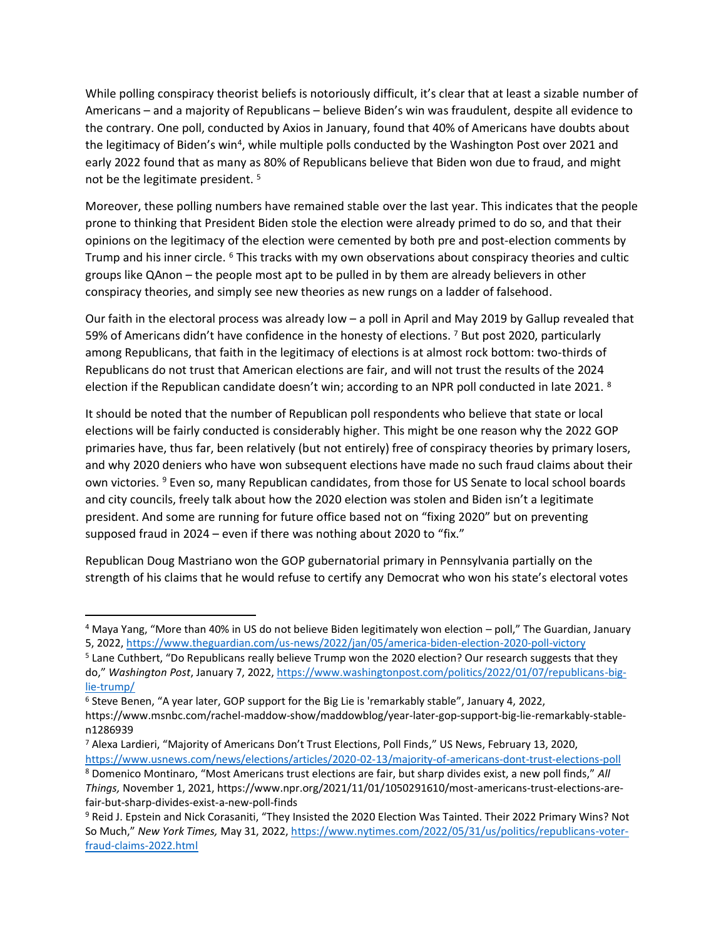While polling conspiracy theorist beliefs is notoriously difficult, it's clear that at least a sizable number of Americans – and a majority of Republicans – believe Biden's win was fraudulent, despite all evidence to the contrary. One poll, conducted by Axios in January, found that 40% of Americans have doubts about the legitimacy of Biden's win<sup>4</sup>, while multiple polls conducted by the Washington Post over 2021 and early 2022 found that as many as 80% of Republicans believe that Biden won due to fraud, and might not be the legitimate president. <sup>5</sup>

Moreover, these polling numbers have remained stable over the last year. This indicates that the people prone to thinking that President Biden stole the election were already primed to do so, and that their opinions on the legitimacy of the election were cemented by both pre and post-election comments by Trump and his inner circle. <sup>6</sup> This tracks with my own observations about conspiracy theories and cultic groups like QAnon – the people most apt to be pulled in by them are already believers in other conspiracy theories, and simply see new theories as new rungs on a ladder of falsehood.

Our faith in the electoral process was already low – a poll in April and May 2019 by Gallup revealed that 59% of Americans didn't have confidence in the honesty of elections. <sup>7</sup> But post 2020, particularly among Republicans, that faith in the legitimacy of elections is at almost rock bottom: two-thirds of Republicans do not trust that American elections are fair, and will not trust the results of the 2024 election if the Republican candidate doesn't win; according to an NPR poll conducted in late 2021. <sup>8</sup>

It should be noted that the number of Republican poll respondents who believe that state or local elections will be fairly conducted is considerably higher. This might be one reason why the 2022 GOP primaries have, thus far, been relatively (but not entirely) free of conspiracy theories by primary losers, and why 2020 deniers who have won subsequent elections have made no such fraud claims about their own victories. <sup>9</sup> Even so, many Republican candidates, from those for US Senate to local school boards and city councils, freely talk about how the 2020 election was stolen and Biden isn't a legitimate president. And some are running for future office based not on "fixing 2020" but on preventing supposed fraud in 2024 – even if there was nothing about 2020 to "fix."

Republican Doug Mastriano won the GOP gubernatorial primary in Pennsylvania partially on the strength of his claims that he would refuse to certify any Democrat who won his state's electoral votes

<sup>4</sup> Maya Yang, "More than 40% in US do not believe Biden legitimately won election – poll," The Guardian, January 5, 2022,<https://www.theguardian.com/us-news/2022/jan/05/america-biden-election-2020-poll-victory>

<sup>5</sup> Lane Cuthbert, "Do Republicans really believe Trump won the 2020 election? Our research suggests that they do," *Washington Post*, January 7, 2022[, https://www.washingtonpost.com/politics/2022/01/07/republicans-big](https://www.washingtonpost.com/politics/2022/01/07/republicans-big-lie-trump/)[lie-trump/](https://www.washingtonpost.com/politics/2022/01/07/republicans-big-lie-trump/)

<sup>6</sup> Steve Benen, "A year later, GOP support for the Big Lie is 'remarkably stable", January 4, 2022, https://www.msnbc.com/rachel-maddow-show/maddowblog/year-later-gop-support-big-lie-remarkably-stablen1286939

<sup>7</sup> Alexa Lardieri, "Majority of Americans Don't Trust Elections, Poll Finds," US News, February 13, 2020, <https://www.usnews.com/news/elections/articles/2020-02-13/majority-of-americans-dont-trust-elections-poll>

<sup>8</sup> Domenico Montinaro, "Most Americans trust elections are fair, but sharp divides exist, a new poll finds," *All Things,* November 1, 2021, https://www.npr.org/2021/11/01/1050291610/most-americans-trust-elections-arefair-but-sharp-divides-exist-a-new-poll-finds

<sup>9</sup> Reid J. Epstein and Nick Corasaniti, "They Insisted the 2020 Election Was Tainted. Their 2022 Primary Wins? Not So Much," *New York Times,* May 31, 2022, [https://www.nytimes.com/2022/05/31/us/politics/republicans-voter](https://www.nytimes.com/2022/05/31/us/politics/republicans-voter-fraud-claims-2022.html)[fraud-claims-2022.html](https://www.nytimes.com/2022/05/31/us/politics/republicans-voter-fraud-claims-2022.html)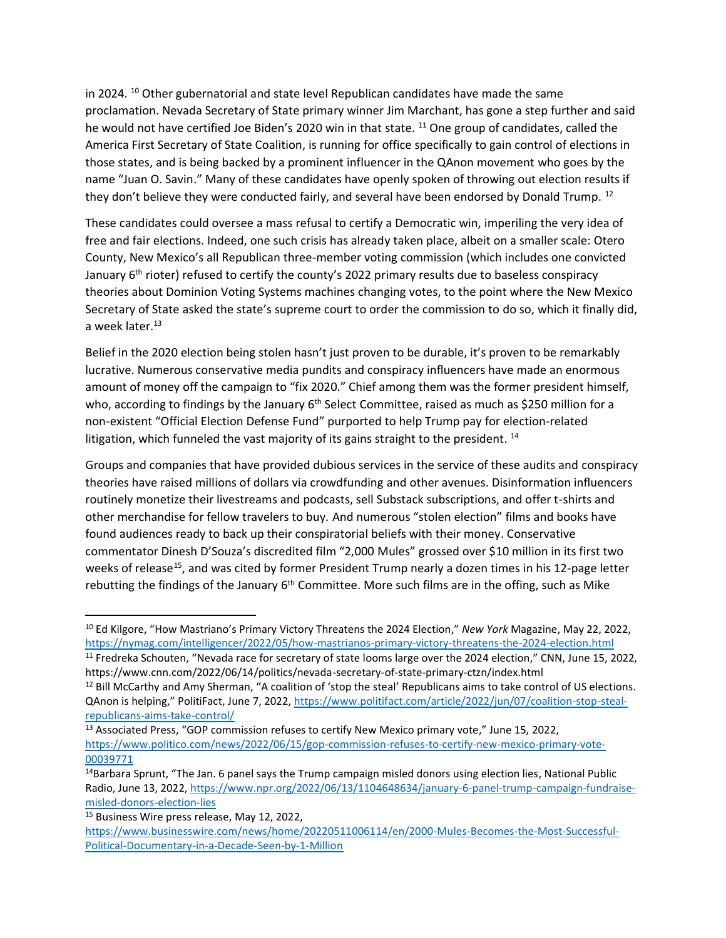in 2024. <sup>10</sup> Other gubernatorial and state level Republican candidates have made the same proclamation. Nevada Secretary of State primary winner Jim Marchant, has gone a step further and said he would not have certified Joe Biden's 2020 win in that state. <sup>11</sup> One group of candidates, called the America First Secretary of State Coalition, is running for office specifically to gain control of elections in those states, and is being backed by a prominent influencer in the QAnon movement who goes by the name "Juan O. Savin." Many of these candidates have openly spoken of throwing out election results if they don't believe they were conducted fairly, and several have been endorsed by Donald Trump. <sup>12</sup>

These candidates could oversee a mass refusal to certify a Democratic win, imperiling the very idea of free and fair elections. Indeed, one such crisis has already taken place, albeit on a smaller scale: Otero County, New Mexico's all Republican three-member voting commission (which includes one convicted January 6<sup>th</sup> rioter) refused to certify the county's 2022 primary results due to baseless conspiracy theories about Dominion Voting Systems machines changing votes, to the point where the New Mexico Secretary of State asked the state's supreme court to order the commission to do so, which it finally did, a week later. 13

Belief in the 2020 election being stolen hasn't just proven to be durable, it's proven to be remarkably lucrative. Numerous conservative media pundits and conspiracy influencers have made an enormous amount of money off the campaign to "fix 2020." Chief among them was the former president himself, who, according to findings by the January  $6<sup>th</sup>$  Select Committee, raised as much as \$250 million for a non-existent "Official Election Defense Fund" purported to help Trump pay for election-related litigation, which funneled the vast majority of its gains straight to the president.  $^{14}$ 

Groups and companies that have provided dubious services in the service of these audits and conspiracy theories have raised millions of dollars via crowdfunding and other avenues. Disinformation influencers routinely monetize their livestreams and podcasts, sell Substack subscriptions, and offer t-shirts and other merchandise for fellow travelers to buy. And numerous "stolen election" films and books have found audiences ready to back up their conspiratorial beliefs with their money. Conservative commentator Dinesh D'Souza's discredited film "2,000 Mules" grossed over \$10 million in its first two weeks of release<sup>15</sup>, and was cited by former President Trump nearly a dozen times in his 12-page letter rebutting the findings of the January  $6<sup>th</sup>$  Committee. More such films are in the offing, such as Mike

https://www.cnn.com/2022/06/14/politics/nevada-secretary-of-state-primary-ctzn/index.html

<sup>10</sup> Ed Kilgore, "How Mastriano's Primary Victory Threatens the 2024 Election," *New York* Magazine, May 22, 2022, <https://nymag.com/intelligencer/2022/05/how-mastrianos-primary-victory-threatens-the-2024-election.html> <sup>11</sup> Fredreka Schouten, "Nevada race for secretary of state looms large over the 2024 election," CNN, June 15, 2022,

<sup>12</sup> Bill McCarthy and Amy Sherman, "A coalition of 'stop the steal' Republicans aims to take control of US elections. QAnon is helping," PolitiFact, June 7, 2022, [https://www.politifact.com/article/2022/jun/07/coalition-stop-steal](https://www.politifact.com/article/2022/jun/07/coalition-stop-steal-republicans-aims-take-control/)[republicans-aims-take-control/](https://www.politifact.com/article/2022/jun/07/coalition-stop-steal-republicans-aims-take-control/)

<sup>&</sup>lt;sup>13</sup> Associated Press, "GOP commission refuses to certify New Mexico primary vote," June 15, 2022, [https://www.politico.com/news/2022/06/15/gop-commission-refuses-to-certify-new-mexico-primary-vote-](https://www.politico.com/news/2022/06/15/gop-commission-refuses-to-certify-new-mexico-primary-vote-00039771)[00039771](https://www.politico.com/news/2022/06/15/gop-commission-refuses-to-certify-new-mexico-primary-vote-00039771)

<sup>&</sup>lt;sup>14</sup>Barbara Sprunt, "The Jan. 6 panel says the Trump campaign misled donors using election lies, National Public Radio, June 13, 2022[, https://www.npr.org/2022/06/13/1104648634/january-6-panel-trump-campaign-fundraise](https://www.npr.org/2022/06/13/1104648634/january-6-panel-trump-campaign-fundraise-misled-donors-election-lies)[misled-donors-election-lies](https://www.npr.org/2022/06/13/1104648634/january-6-panel-trump-campaign-fundraise-misled-donors-election-lies)

<sup>15</sup> Business Wire press release, May 12, 2022,

[https://www.businesswire.com/news/home/20220511006114/en/2000-Mules-Becomes-the-Most-Successful-](https://www.businesswire.com/news/home/20220511006114/en/2000-Mules-Becomes-the-Most-Successful-Political-Documentary-in-a-Decade-Seen-by-1-Million)[Political-Documentary-in-a-Decade-Seen-by-1-Million](https://www.businesswire.com/news/home/20220511006114/en/2000-Mules-Becomes-the-Most-Successful-Political-Documentary-in-a-Decade-Seen-by-1-Million)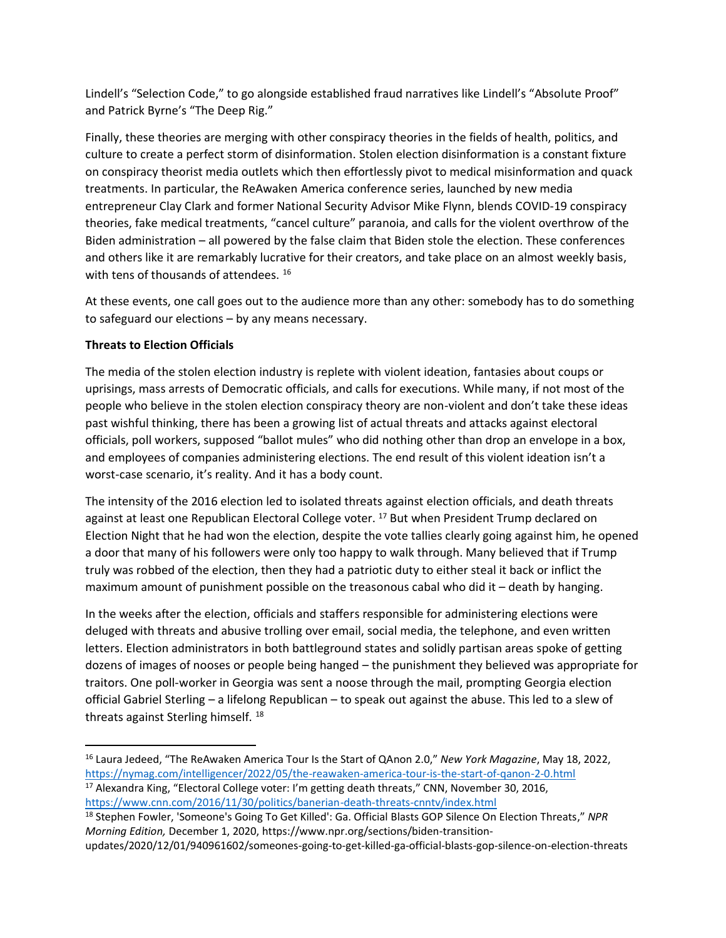Lindell's "Selection Code," to go alongside established fraud narratives like Lindell's "Absolute Proof" and Patrick Byrne's "The Deep Rig."

Finally, these theories are merging with other conspiracy theories in the fields of health, politics, and culture to create a perfect storm of disinformation. Stolen election disinformation is a constant fixture on conspiracy theorist media outlets which then effortlessly pivot to medical misinformation and quack treatments. In particular, the ReAwaken America conference series, launched by new media entrepreneur Clay Clark and former National Security Advisor Mike Flynn, blends COVID-19 conspiracy theories, fake medical treatments, "cancel culture" paranoia, and calls for the violent overthrow of the Biden administration – all powered by the false claim that Biden stole the election. These conferences and others like it are remarkably lucrative for their creators, and take place on an almost weekly basis, with tens of thousands of attendees. <sup>16</sup>

At these events, one call goes out to the audience more than any other: somebody has to do something to safeguard our elections – by any means necessary.

# **Threats to Election Officials**

The media of the stolen election industry is replete with violent ideation, fantasies about coups or uprisings, mass arrests of Democratic officials, and calls for executions. While many, if not most of the people who believe in the stolen election conspiracy theory are non-violent and don't take these ideas past wishful thinking, there has been a growing list of actual threats and attacks against electoral officials, poll workers, supposed "ballot mules" who did nothing other than drop an envelope in a box, and employees of companies administering elections. The end result of this violent ideation isn't a worst-case scenario, it's reality. And it has a body count.

The intensity of the 2016 election led to isolated threats against election officials, and death threats against at least one Republican Electoral College voter. <sup>17</sup> But when President Trump declared on Election Night that he had won the election, despite the vote tallies clearly going against him, he opened a door that many of his followers were only too happy to walk through. Many believed that if Trump truly was robbed of the election, then they had a patriotic duty to either steal it back or inflict the maximum amount of punishment possible on the treasonous cabal who did it – death by hanging.

In the weeks after the election, officials and staffers responsible for administering elections were deluged with threats and abusive trolling over email, social media, the telephone, and even written letters. Election administrators in both battleground states and solidly partisan areas spoke of getting dozens of images of nooses or people being hanged – the punishment they believed was appropriate for traitors. One poll-worker in Georgia was sent a noose through the mail, prompting Georgia election official Gabriel Sterling – a lifelong Republican – to speak out against the abuse. This led to a slew of threats against Sterling himself. <sup>18</sup>

<sup>17</sup> Alexandra King, "Electoral College voter: I'm getting death threats," CNN, November 30, 2016, <https://www.cnn.com/2016/11/30/politics/banerian-death-threats-cnntv/index.html>

<sup>16</sup> Laura Jedeed, "The ReAwaken America Tour Is the Start of QAnon 2.0," *New York Magazine*, May 18, 2022, <https://nymag.com/intelligencer/2022/05/the-reawaken-america-tour-is-the-start-of-qanon-2-0.html>

<sup>18</sup> Stephen Fowler, 'Someone's Going To Get Killed': Ga. Official Blasts GOP Silence On Election Threats," *NPR Morning Edition,* December 1, 2020, https://www.npr.org/sections/biden-transition-

updates/2020/12/01/940961602/someones-going-to-get-killed-ga-official-blasts-gop-silence-on-election-threats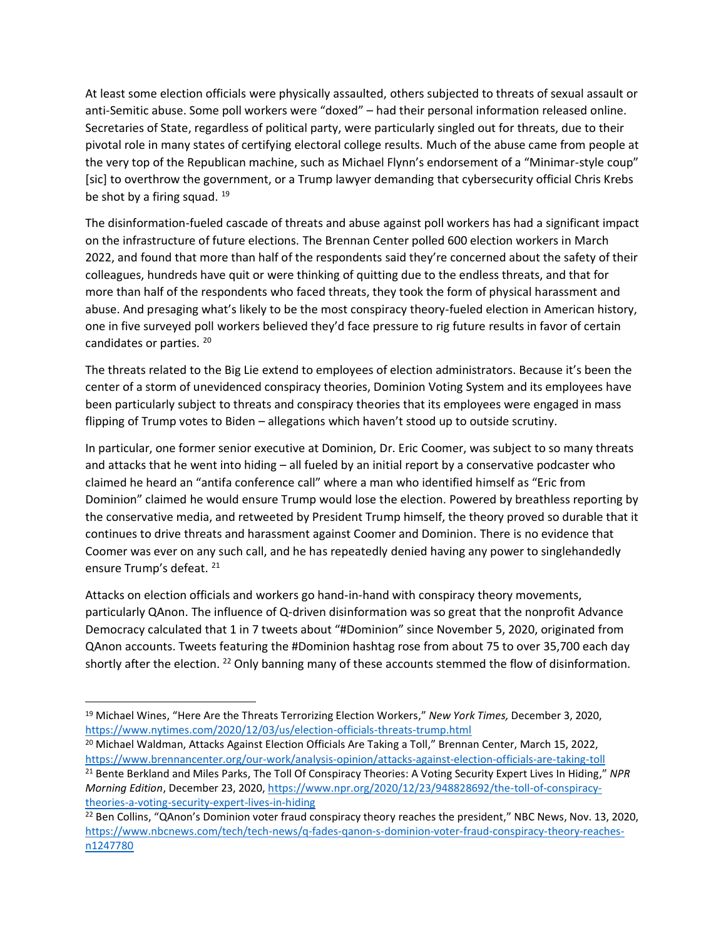At least some election officials were physically assaulted, others subjected to threats of sexual assault or anti-Semitic abuse. Some poll workers were "doxed" – had their personal information released online. Secretaries of State, regardless of political party, were particularly singled out for threats, due to their pivotal role in many states of certifying electoral college results. Much of the abuse came from people at the very top of the Republican machine, such as Michael Flynn's endorsement of a "Minimar-style coup" [sic] to overthrow the government, or a Trump lawyer demanding that cybersecurity official Chris Krebs be shot by a firing squad. 19

The disinformation-fueled cascade of threats and abuse against poll workers has had a significant impact on the infrastructure of future elections. The Brennan Center polled 600 election workers in March 2022, and found that more than half of the respondents said they're concerned about the safety of their colleagues, hundreds have quit or were thinking of quitting due to the endless threats, and that for more than half of the respondents who faced threats, they took the form of physical harassment and abuse. And presaging what's likely to be the most conspiracy theory-fueled election in American history, one in five surveyed poll workers believed they'd face pressure to rig future results in favor of certain candidates or parties. <sup>20</sup>

The threats related to the Big Lie extend to employees of election administrators. Because it's been the center of a storm of unevidenced conspiracy theories, Dominion Voting System and its employees have been particularly subject to threats and conspiracy theories that its employees were engaged in mass flipping of Trump votes to Biden – allegations which haven't stood up to outside scrutiny.

In particular, one former senior executive at Dominion, Dr. Eric Coomer, was subject to so many threats and attacks that he went into hiding – all fueled by an initial report by a conservative podcaster who claimed he heard an "antifa conference call" where a man who identified himself as "Eric from Dominion" claimed he would ensure Trump would lose the election. Powered by breathless reporting by the conservative media, and retweeted by President Trump himself, the theory proved so durable that it continues to drive threats and harassment against Coomer and Dominion. There is no evidence that Coomer was ever on any such call, and he has repeatedly denied having any power to singlehandedly ensure Trump's defeat. <sup>21</sup>

Attacks on election officials and workers go hand-in-hand with conspiracy theory movements, particularly QAnon. The influence of Q-driven disinformation was so great that the nonprofit Advance Democracy calculated that 1 in 7 tweets about "#Dominion" since November 5, 2020, originated from QAnon accounts. Tweets featuring the #Dominion hashtag rose from about 75 to over 35,700 each day shortly after the election. <sup>22</sup> Only banning many of these accounts stemmed the flow of disinformation.

*Morning Edition*, December 23, 2020, [https://www.npr.org/2020/12/23/948828692/the-toll-of-conspiracy](https://www.npr.org/2020/12/23/948828692/the-toll-of-conspiracy-theories-a-voting-security-expert-lives-in-hiding)[theories-a-voting-security-expert-lives-in-hiding](https://www.npr.org/2020/12/23/948828692/the-toll-of-conspiracy-theories-a-voting-security-expert-lives-in-hiding)

<sup>19</sup> Michael Wines, "Here Are the Threats Terrorizing Election Workers," *New York Times,* December 3, 2020, <https://www.nytimes.com/2020/12/03/us/election-officials-threats-trump.html>

<sup>&</sup>lt;sup>20</sup> Michael Waldman, Attacks Against Election Officials Are Taking a Toll," Brennan Center, March 15, 2022, <https://www.brennancenter.org/our-work/analysis-opinion/attacks-against-election-officials-are-taking-toll> <sup>21</sup> Bente Berkland and Miles Parks, The Toll Of Conspiracy Theories: A Voting Security Expert Lives In Hiding," *NPR* 

<sup>&</sup>lt;sup>22</sup> Ben Collins, "QAnon's Dominion voter fraud conspiracy theory reaches the president," NBC News, Nov. 13, 2020, [https://www.nbcnews.com/tech/tech-news/q-fades-qanon-s-dominion-voter-fraud-conspiracy-theory-reaches](https://www.nbcnews.com/tech/tech-news/q-fades-qanon-s-dominion-voter-fraud-conspiracy-theory-reaches-n1247780)[n1247780](https://www.nbcnews.com/tech/tech-news/q-fades-qanon-s-dominion-voter-fraud-conspiracy-theory-reaches-n1247780)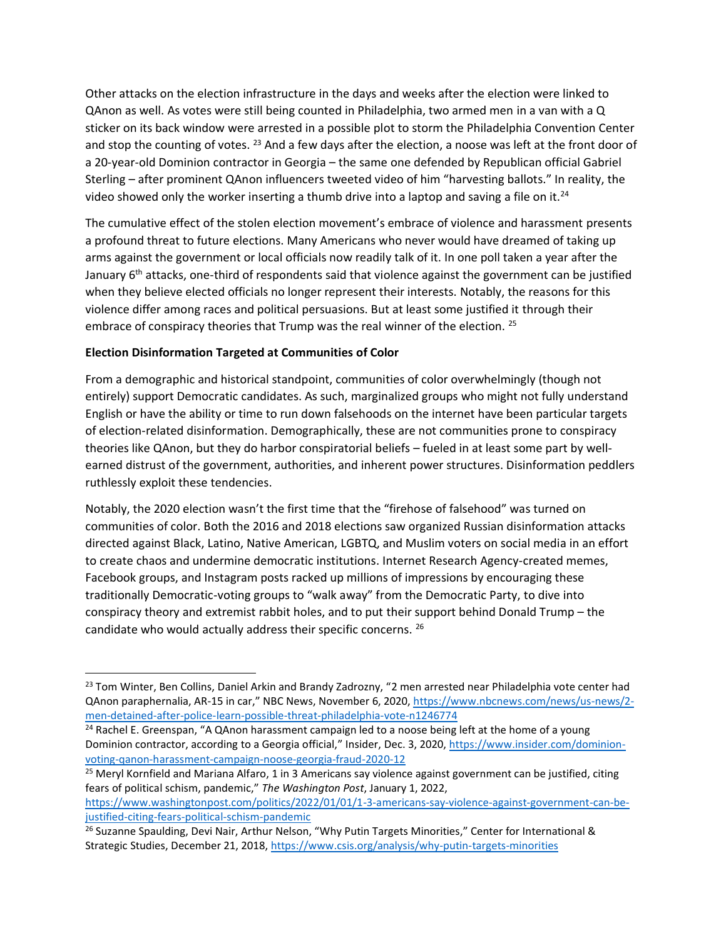Other attacks on the election infrastructure in the days and weeks after the election were linked to QAnon as well. As votes were still being counted in Philadelphia, two armed men in a van with a Q sticker on its back window were arrested in a possible plot to storm the Philadelphia Convention Center and stop the counting of votes. <sup>23</sup> And a few days after the election, a noose was left at the front door of a 20-year-old Dominion contractor in Georgia – the same one defended by Republican official Gabriel Sterling – after prominent QAnon influencers tweeted video of him "harvesting ballots." In reality, the video showed only the worker inserting a thumb drive into a laptop and saving a file on it.<sup>24</sup>

The cumulative effect of the stolen election movement's embrace of violence and harassment presents a profound threat to future elections. Many Americans who never would have dreamed of taking up arms against the government or local officials now readily talk of it. In one poll taken a year after the January 6<sup>th</sup> attacks, one-third of respondents said that violence against the government can be justified when they believe elected officials no longer represent their interests. Notably, the reasons for this violence differ among races and political persuasions. But at least some justified it through their embrace of conspiracy theories that Trump was the real winner of the election. <sup>25</sup>

# **Election Disinformation Targeted at Communities of Color**

From a demographic and historical standpoint, communities of color overwhelmingly (though not entirely) support Democratic candidates. As such, marginalized groups who might not fully understand English or have the ability or time to run down falsehoods on the internet have been particular targets of election-related disinformation. Demographically, these are not communities prone to conspiracy theories like QAnon, but they do harbor conspiratorial beliefs – fueled in at least some part by wellearned distrust of the government, authorities, and inherent power structures. Disinformation peddlers ruthlessly exploit these tendencies.

Notably, the 2020 election wasn't the first time that the "firehose of falsehood" was turned on communities of color. Both the 2016 and 2018 elections saw organized Russian disinformation attacks directed against Black, Latino, Native American, LGBTQ, and Muslim voters on social media in an effort to create chaos and undermine democratic institutions. Internet Research Agency-created memes, Facebook groups, and Instagram posts racked up millions of impressions by encouraging these traditionally Democratic-voting groups to "walk away" from the Democratic Party, to dive into conspiracy theory and extremist rabbit holes, and to put their support behind Donald Trump – the candidate who would actually address their specific concerns. 26

<sup>&</sup>lt;sup>23</sup> Tom Winter, Ben Collins, Daniel Arkin and Brandy Zadrozny, "2 men arrested near Philadelphia vote center had QAnon paraphernalia, AR-15 in car," NBC News, November 6, 2020, [https://www.nbcnews.com/news/us-news/2](https://www.nbcnews.com/news/us-news/2-men-detained-after-police-learn-possible-threat-philadelphia-vote-n1246774) [men-detained-after-police-learn-possible-threat-philadelphia-vote-n1246774](https://www.nbcnews.com/news/us-news/2-men-detained-after-police-learn-possible-threat-philadelphia-vote-n1246774)

<sup>&</sup>lt;sup>24</sup> Rachel E. Greenspan, "A QAnon harassment campaign led to a noose being left at the home of a young Dominion contractor, according to a Georgia official," Insider, Dec. 3, 2020, [https://www.insider.com/dominion](https://www.insider.com/dominion-voting-qanon-harassment-campaign-noose-georgia-fraud-2020-12)[voting-qanon-harassment-campaign-noose-georgia-fraud-2020-12](https://www.insider.com/dominion-voting-qanon-harassment-campaign-noose-georgia-fraud-2020-12)

<sup>&</sup>lt;sup>25</sup> Meryl Kornfield and Mariana Alfaro, 1 in 3 Americans say violence against government can be justified, citing fears of political schism, pandemic," *The Washington Post*, January 1, 2022,

[https://www.washingtonpost.com/politics/2022/01/01/1-3-americans-say-violence-against-government-can-be](https://www.washingtonpost.com/politics/2022/01/01/1-3-americans-say-violence-against-government-can-be-justified-citing-fears-political-schism-pandemic)[justified-citing-fears-political-schism-pandemic](https://www.washingtonpost.com/politics/2022/01/01/1-3-americans-say-violence-against-government-can-be-justified-citing-fears-political-schism-pandemic)

<sup>&</sup>lt;sup>26</sup> Suzanne Spaulding, Devi Nair, Arthur Nelson, "Why Putin Targets Minorities," Center for International & Strategic Studies, December 21, 2018[, https://www.csis.org/analysis/why-putin-targets-minorities](https://www.csis.org/analysis/why-putin-targets-minorities)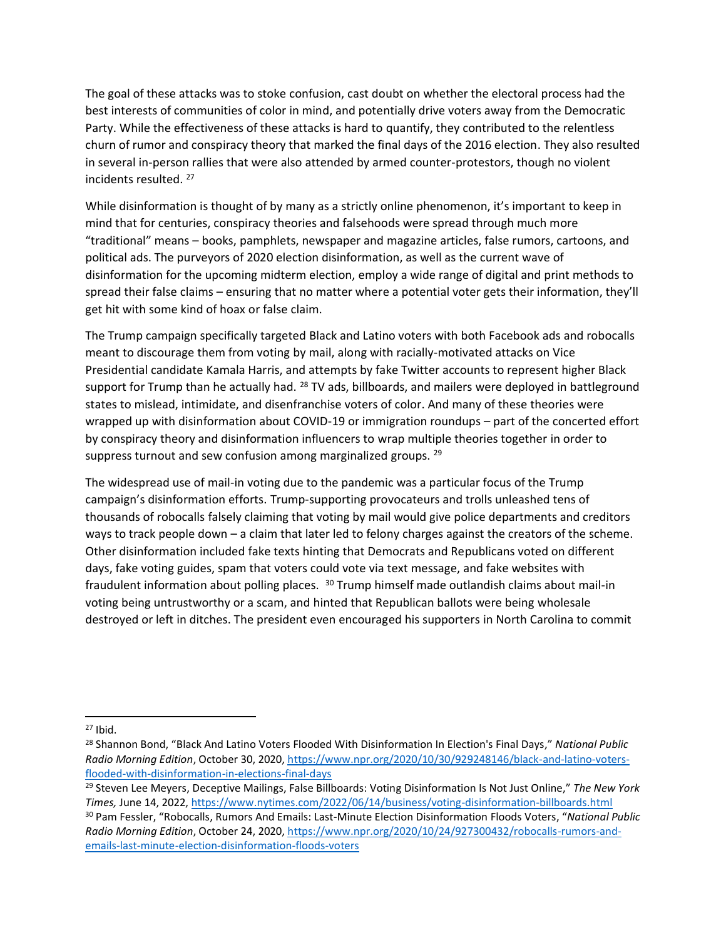The goal of these attacks was to stoke confusion, cast doubt on whether the electoral process had the best interests of communities of color in mind, and potentially drive voters away from the Democratic Party. While the effectiveness of these attacks is hard to quantify, they contributed to the relentless churn of rumor and conspiracy theory that marked the final days of the 2016 election. They also resulted in several in-person rallies that were also attended by armed counter-protestors, though no violent incidents resulted. <sup>27</sup>

While disinformation is thought of by many as a strictly online phenomenon, it's important to keep in mind that for centuries, conspiracy theories and falsehoods were spread through much more "traditional" means – books, pamphlets, newspaper and magazine articles, false rumors, cartoons, and political ads. The purveyors of 2020 election disinformation, as well as the current wave of disinformation for the upcoming midterm election, employ a wide range of digital and print methods to spread their false claims – ensuring that no matter where a potential voter gets their information, they'll get hit with some kind of hoax or false claim.

The Trump campaign specifically targeted Black and Latino voters with both Facebook ads and robocalls meant to discourage them from voting by mail, along with racially-motivated attacks on Vice Presidential candidate Kamala Harris, and attempts by fake Twitter accounts to represent higher Black support for Trump than he actually had. <sup>28</sup> TV ads, billboards, and mailers were deployed in battleground states to mislead, intimidate, and disenfranchise voters of color. And many of these theories were wrapped up with disinformation about COVID-19 or immigration roundups – part of the concerted effort by conspiracy theory and disinformation influencers to wrap multiple theories together in order to suppress turnout and sew confusion among marginalized groups. <sup>29</sup>

The widespread use of mail-in voting due to the pandemic was a particular focus of the Trump campaign's disinformation efforts. Trump-supporting provocateurs and trolls unleashed tens of thousands of robocalls falsely claiming that voting by mail would give police departments and creditors ways to track people down – a claim that later led to felony charges against the creators of the scheme. Other disinformation included fake texts hinting that Democrats and Republicans voted on different days, fake voting guides, spam that voters could vote via text message, and fake websites with fraudulent information about polling places. <sup>30</sup> Trump himself made outlandish claims about mail-in voting being untrustworthy or a scam, and hinted that Republican ballots were being wholesale destroyed or left in ditches. The president even encouraged his supporters in North Carolina to commit

 $27$  Ibid.

<sup>28</sup> Shannon Bond, "Black And Latino Voters Flooded With Disinformation In Election's Final Days," *National Public Radio Morning Edition*, October 30, 2020, [https://www.npr.org/2020/10/30/929248146/black-and-latino-voters](https://www.npr.org/2020/10/30/929248146/black-and-latino-voters-flooded-with-disinformation-in-elections-final-days)[flooded-with-disinformation-in-elections-final-days](https://www.npr.org/2020/10/30/929248146/black-and-latino-voters-flooded-with-disinformation-in-elections-final-days)

<sup>29</sup> Steven Lee Meyers, Deceptive Mailings, False Billboards: Voting Disinformation Is Not Just Online," *The New York Times,* June 14, 2022[, https://www.nytimes.com/2022/06/14/business/voting-disinformation-billboards.html](https://www.nytimes.com/2022/06/14/business/voting-disinformation-billboards.html) <sup>30</sup> Pam Fessler, "Robocalls, Rumors And Emails: Last-Minute Election Disinformation Floods Voters, "*National Public Radio Morning Edition*, October 24, 2020, [https://www.npr.org/2020/10/24/927300432/robocalls-rumors-and](https://www.npr.org/2020/10/24/927300432/robocalls-rumors-and-emails-last-minute-election-disinformation-floods-voters)[emails-last-minute-election-disinformation-floods-voters](https://www.npr.org/2020/10/24/927300432/robocalls-rumors-and-emails-last-minute-election-disinformation-floods-voters)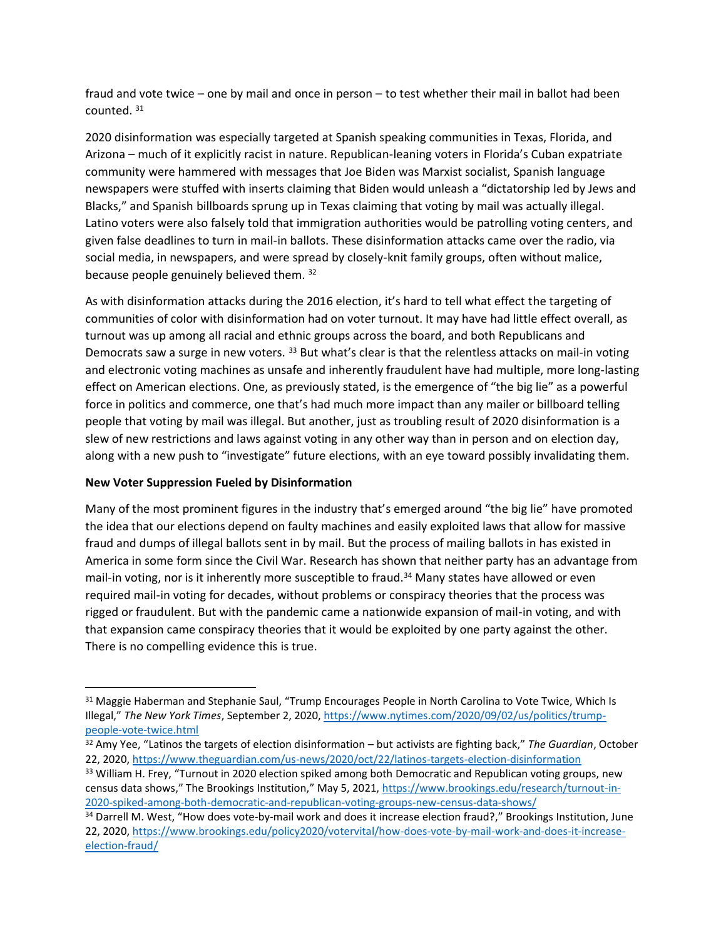fraud and vote twice – one by mail and once in person – to test whether their mail in ballot had been counted. <sup>31</sup>

2020 disinformation was especially targeted at Spanish speaking communities in Texas, Florida, and Arizona – much of it explicitly racist in nature. Republican-leaning voters in Florida's Cuban expatriate community were hammered with messages that Joe Biden was Marxist socialist, Spanish language newspapers were stuffed with inserts claiming that Biden would unleash a "dictatorship led by Jews and Blacks," and Spanish billboards sprung up in Texas claiming that voting by mail was actually illegal. Latino voters were also falsely told that immigration authorities would be patrolling voting centers, and given false deadlines to turn in mail-in ballots. These disinformation attacks came over the radio, via social media, in newspapers, and were spread by closely-knit family groups, often without malice, because people genuinely believed them. <sup>32</sup>

As with disinformation attacks during the 2016 election, it's hard to tell what effect the targeting of communities of color with disinformation had on voter turnout. It may have had little effect overall, as turnout was up among all racial and ethnic groups across the board, and both Republicans and Democrats saw a surge in new voters. <sup>33</sup> But what's clear is that the relentless attacks on mail-in voting and electronic voting machines as unsafe and inherently fraudulent have had multiple, more long-lasting effect on American elections. One, as previously stated, is the emergence of "the big lie" as a powerful force in politics and commerce, one that's had much more impact than any mailer or billboard telling people that voting by mail was illegal. But another, just as troubling result of 2020 disinformation is a slew of new restrictions and laws against voting in any other way than in person and on election day, along with a new push to "investigate" future elections, with an eye toward possibly invalidating them.

# **New Voter Suppression Fueled by Disinformation**

Many of the most prominent figures in the industry that's emerged around "the big lie" have promoted the idea that our elections depend on faulty machines and easily exploited laws that allow for massive fraud and dumps of illegal ballots sent in by mail. But the process of mailing ballots in has existed in America in some form since the Civil War. Research has shown that neither party has an advantage from mail-in voting, nor is it inherently more susceptible to fraud.<sup>34</sup> Many states have allowed or even required mail-in voting for decades, without problems or conspiracy theories that the process was rigged or fraudulent. But with the pandemic came a nationwide expansion of mail-in voting, and with that expansion came conspiracy theories that it would be exploited by one party against the other. There is no compelling evidence this is true.

<sup>&</sup>lt;sup>31</sup> Maggie Haberman and Stephanie Saul, "Trump Encourages People in North Carolina to Vote Twice, Which Is Illegal," *The New York Times*, September 2, 2020, [https://www.nytimes.com/2020/09/02/us/politics/trump](https://www.nytimes.com/2020/09/02/us/politics/trump-people-vote-twice.html)[people-vote-twice.html](https://www.nytimes.com/2020/09/02/us/politics/trump-people-vote-twice.html)

<sup>32</sup> Amy Yee, "Latinos the targets of election disinformation – but activists are fighting back," *The Guardian*, October 22, 2020,<https://www.theguardian.com/us-news/2020/oct/22/latinos-targets-election-disinformation>

<sup>&</sup>lt;sup>33</sup> William H. Frey, "Turnout in 2020 election spiked among both Democratic and Republican voting groups, new census data shows," The Brookings Institution," May 5, 2021, [https://www.brookings.edu/research/turnout-in-](https://www.brookings.edu/research/turnout-in-2020-spiked-among-both-democratic-and-republican-voting-groups-new-census-data-shows/)[2020-spiked-among-both-democratic-and-republican-voting-groups-new-census-data-shows/](https://www.brookings.edu/research/turnout-in-2020-spiked-among-both-democratic-and-republican-voting-groups-new-census-data-shows/)

<sup>34</sup> Darrell M. West, "How does vote-by-mail work and does it increase election fraud?," Brookings Institution, June 22, 2020, [https://www.brookings.edu/policy2020/votervital/how-does-vote-by-mail-work-and-does-it-increase](https://www.brookings.edu/policy2020/votervital/how-does-vote-by-mail-work-and-does-it-increase-election-fraud/)[election-fraud/](https://www.brookings.edu/policy2020/votervital/how-does-vote-by-mail-work-and-does-it-increase-election-fraud/)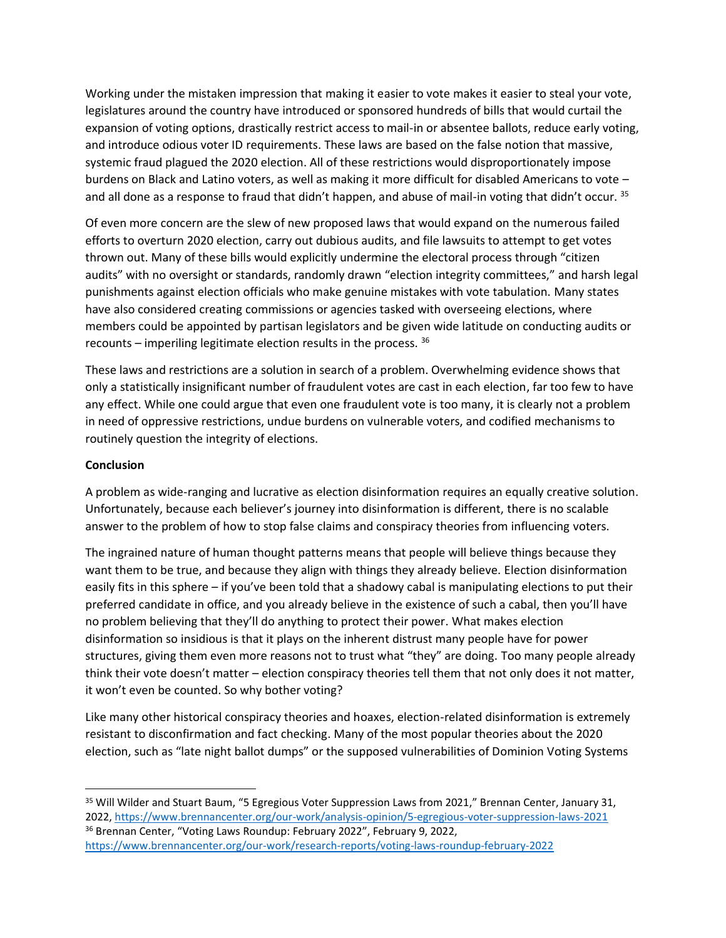Working under the mistaken impression that making it easier to vote makes it easier to steal your vote, legislatures around the country have introduced or sponsored hundreds of bills that would curtail the expansion of voting options, drastically restrict access to mail-in or absentee ballots, reduce early voting, and introduce odious voter ID requirements. These laws are based on the false notion that massive, systemic fraud plagued the 2020 election. All of these restrictions would disproportionately impose burdens on Black and Latino voters, as well as making it more difficult for disabled Americans to vote – and all done as a response to fraud that didn't happen, and abuse of mail-in voting that didn't occur. 35

Of even more concern are the slew of new proposed laws that would expand on the numerous failed efforts to overturn 2020 election, carry out dubious audits, and file lawsuits to attempt to get votes thrown out. Many of these bills would explicitly undermine the electoral process through "citizen audits" with no oversight or standards, randomly drawn "election integrity committees," and harsh legal punishments against election officials who make genuine mistakes with vote tabulation. Many states have also considered creating commissions or agencies tasked with overseeing elections, where members could be appointed by partisan legislators and be given wide latitude on conducting audits or recounts – imperiling legitimate election results in the process. <sup>36</sup>

These laws and restrictions are a solution in search of a problem. Overwhelming evidence shows that only a statistically insignificant number of fraudulent votes are cast in each election, far too few to have any effect. While one could argue that even one fraudulent vote is too many, it is clearly not a problem in need of oppressive restrictions, undue burdens on vulnerable voters, and codified mechanisms to routinely question the integrity of elections.

## **Conclusion**

A problem as wide-ranging and lucrative as election disinformation requires an equally creative solution. Unfortunately, because each believer's journey into disinformation is different, there is no scalable answer to the problem of how to stop false claims and conspiracy theories from influencing voters.

The ingrained nature of human thought patterns means that people will believe things because they want them to be true, and because they align with things they already believe. Election disinformation easily fits in this sphere – if you've been told that a shadowy cabal is manipulating elections to put their preferred candidate in office, and you already believe in the existence of such a cabal, then you'll have no problem believing that they'll do anything to protect their power. What makes election disinformation so insidious is that it plays on the inherent distrust many people have for power structures, giving them even more reasons not to trust what "they" are doing. Too many people already think their vote doesn't matter – election conspiracy theories tell them that not only does it not matter, it won't even be counted. So why bother voting?

Like many other historical conspiracy theories and hoaxes, election-related disinformation is extremely resistant to disconfirmation and fact checking. Many of the most popular theories about the 2020 election, such as "late night ballot dumps" or the supposed vulnerabilities of Dominion Voting Systems

<sup>35</sup> Will Wilder and Stuart Baum, "5 Egregious Voter Suppression Laws from 2021," Brennan Center, January 31, 2022,<https://www.brennancenter.org/our-work/analysis-opinion/5-egregious-voter-suppression-laws-2021> <sup>36</sup> Brennan Center, "Voting Laws Roundup: February 2022", February 9, 2022,

<https://www.brennancenter.org/our-work/research-reports/voting-laws-roundup-february-2022>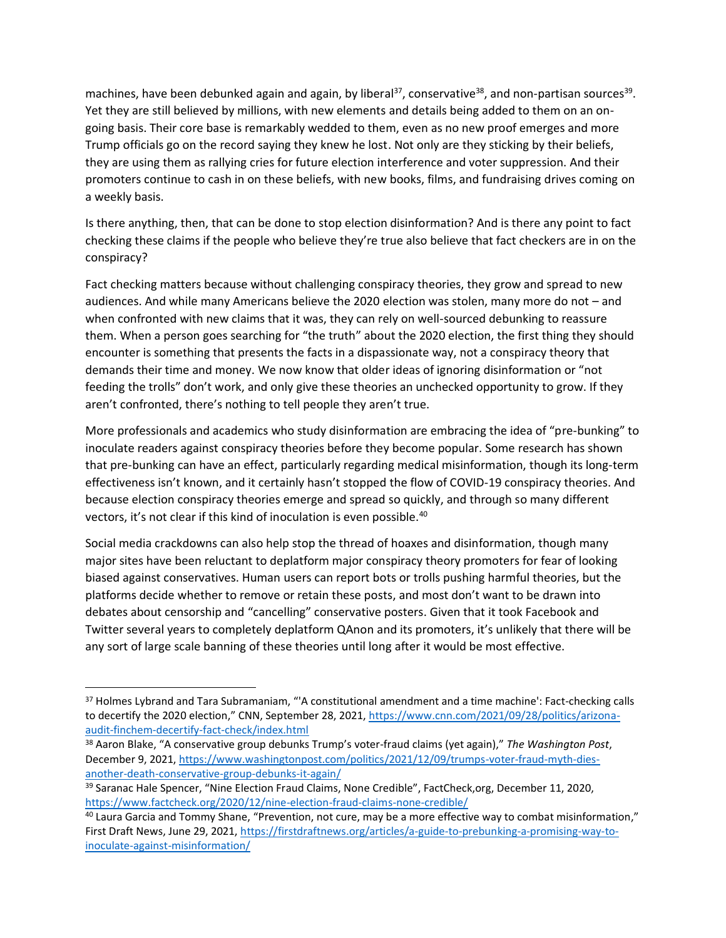machines, have been debunked again and again, by liberal<sup>37</sup>, conservative<sup>38</sup>, and non-partisan sources<sup>39</sup>. Yet they are still believed by millions, with new elements and details being added to them on an ongoing basis. Their core base is remarkably wedded to them, even as no new proof emerges and more Trump officials go on the record saying they knew he lost. Not only are they sticking by their beliefs, they are using them as rallying cries for future election interference and voter suppression. And their promoters continue to cash in on these beliefs, with new books, films, and fundraising drives coming on a weekly basis.

Is there anything, then, that can be done to stop election disinformation? And is there any point to fact checking these claims if the people who believe they're true also believe that fact checkers are in on the conspiracy?

Fact checking matters because without challenging conspiracy theories, they grow and spread to new audiences. And while many Americans believe the 2020 election was stolen, many more do not – and when confronted with new claims that it was, they can rely on well-sourced debunking to reassure them. When a person goes searching for "the truth" about the 2020 election, the first thing they should encounter is something that presents the facts in a dispassionate way, not a conspiracy theory that demands their time and money. We now know that older ideas of ignoring disinformation or "not feeding the trolls" don't work, and only give these theories an unchecked opportunity to grow. If they aren't confronted, there's nothing to tell people they aren't true.

More professionals and academics who study disinformation are embracing the idea of "pre-bunking" to inoculate readers against conspiracy theories before they become popular. Some research has shown that pre-bunking can have an effect, particularly regarding medical misinformation, though its long-term effectiveness isn't known, and it certainly hasn't stopped the flow of COVID-19 conspiracy theories. And because election conspiracy theories emerge and spread so quickly, and through so many different vectors, it's not clear if this kind of inoculation is even possible. 40

Social media crackdowns can also help stop the thread of hoaxes and disinformation, though many major sites have been reluctant to deplatform major conspiracy theory promoters for fear of looking biased against conservatives. Human users can report bots or trolls pushing harmful theories, but the platforms decide whether to remove or retain these posts, and most don't want to be drawn into debates about censorship and "cancelling" conservative posters. Given that it took Facebook and Twitter several years to completely deplatform QAnon and its promoters, it's unlikely that there will be any sort of large scale banning of these theories until long after it would be most effective.

<sup>&</sup>lt;sup>37</sup> Holmes Lybrand and Tara Subramaniam, "'A constitutional amendment and a time machine': Fact-checking calls to decertify the 2020 election," CNN, September 28, 2021, [https://www.cnn.com/2021/09/28/politics/arizona](https://www.cnn.com/2021/09/28/politics/arizona-audit-finchem-decertify-fact-check/index.html)[audit-finchem-decertify-fact-check/index.html](https://www.cnn.com/2021/09/28/politics/arizona-audit-finchem-decertify-fact-check/index.html)

<sup>38</sup> Aaron Blake, "A conservative group debunks Trump's voter-fraud claims (yet again)," *The Washington Post*, December 9, 2021, [https://www.washingtonpost.com/politics/2021/12/09/trumps-voter-fraud-myth-dies](https://www.washingtonpost.com/politics/2021/12/09/trumps-voter-fraud-myth-dies-another-death-conservative-group-debunks-it-again/)[another-death-conservative-group-debunks-it-again/](https://www.washingtonpost.com/politics/2021/12/09/trumps-voter-fraud-myth-dies-another-death-conservative-group-debunks-it-again/)

<sup>&</sup>lt;sup>39</sup> Saranac Hale Spencer, "Nine Election Fraud Claims, None Credible", FactCheck,org, December 11, 2020, <https://www.factcheck.org/2020/12/nine-election-fraud-claims-none-credible/>

<sup>40</sup> Laura Garcia and Tommy Shane, "Prevention, not cure, may be a more effective way to combat misinformation," First Draft News, June 29, 2021, [https://firstdraftnews.org/articles/a-guide-to-prebunking-a-promising-way-to](https://firstdraftnews.org/articles/a-guide-to-prebunking-a-promising-way-to-inoculate-against-misinformation/)[inoculate-against-misinformation/](https://firstdraftnews.org/articles/a-guide-to-prebunking-a-promising-way-to-inoculate-against-misinformation/)